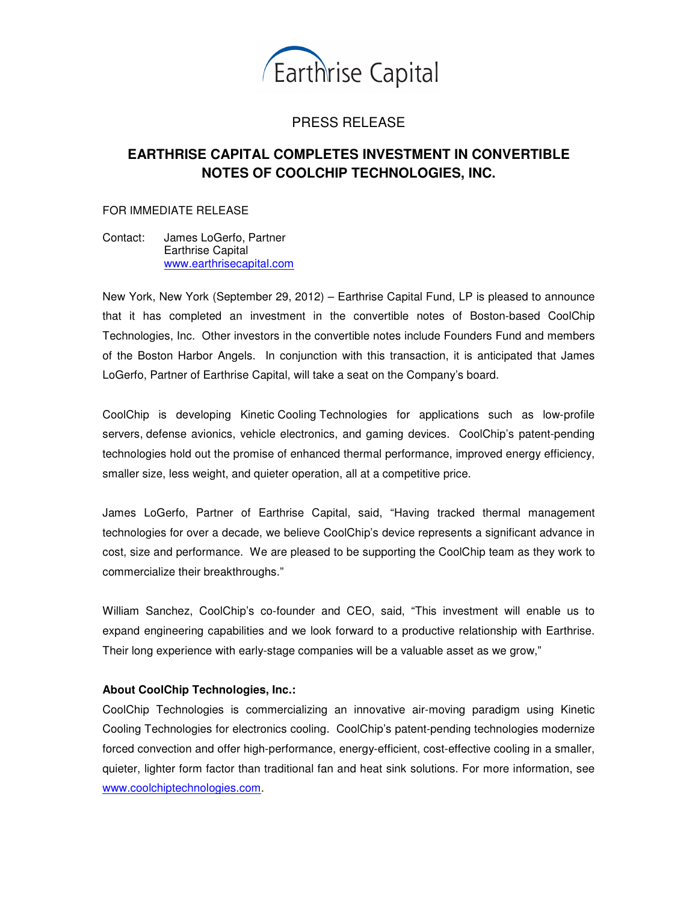

## PRESS RELEASE

# **EARTHRISE CAPITAL COMPLETES INVESTMENT IN CONVERTIBLE NOTES OF COOLCHIP TECHNOLOGIES, INC.**

#### FOR IMMEDIATE RELEASE

Contact: James LoGerfo, Partner Earthrise Capital www.earthrisecapital.com

New York, New York (September 29, 2012) – Earthrise Capital Fund, LP is pleased to announce that it has completed an investment in the convertible notes of Boston-based CoolChip Technologies, Inc. Other investors in the convertible notes include Founders Fund and members of the Boston Harbor Angels. In conjunction with this transaction, it is anticipated that James LoGerfo, Partner of Earthrise Capital, will take a seat on the Company's board.

CoolChip is developing Kinetic Cooling Technologies for applications such as low-profile servers, defense avionics, vehicle electronics, and gaming devices. CoolChip's patent-pending technologies hold out the promise of enhanced thermal performance, improved energy efficiency, smaller size, less weight, and quieter operation, all at a competitive price.

James LoGerfo, Partner of Earthrise Capital, said, "Having tracked thermal management technologies for over a decade, we believe CoolChip's device represents a significant advance in cost, size and performance. We are pleased to be supporting the CoolChip team as they work to commercialize their breakthroughs."

William Sanchez, CoolChip's co-founder and CEO, said, "This investment will enable us to expand engineering capabilities and we look forward to a productive relationship with Earthrise. Their long experience with early-stage companies will be a valuable asset as we grow,"

### **About CoolChip Technologies, Inc.:**

CoolChip Technologies is commercializing an innovative air-moving paradigm using Kinetic Cooling Technologies for electronics cooling. CoolChip's patent-pending technologies modernize forced convection and offer high-performance, energy-efficient, cost-effective cooling in a smaller, quieter, lighter form factor than traditional fan and heat sink solutions. For more information, see www.coolchiptechnologies.com.